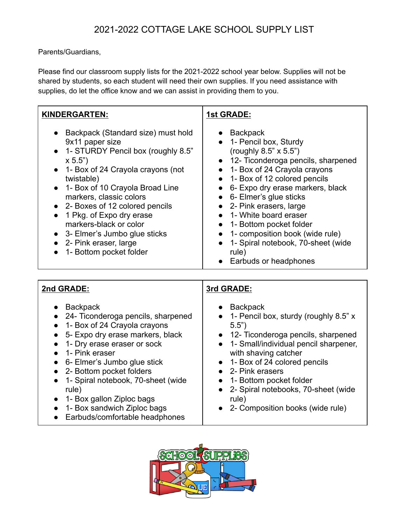## 2021-2022 COTTAGE LAKE SCHOOL SUPPLY LIST

Parents/Guardians,

Please find our classroom supply lists for the 2021-2022 school year below. Supplies will not be shared by students, so each student will need their own supplies. If you need assistance with supplies, do let the office know and we can assist in providing them to you.

| <b>KINDERGARTEN:</b>                                                                                                                                                                                                                                                                                                                                                                                                                                                                                                 | <b>1st GRADE:</b>                                                                                                                                                                                                                                                                                                                                                                                                                                                                                            |
|----------------------------------------------------------------------------------------------------------------------------------------------------------------------------------------------------------------------------------------------------------------------------------------------------------------------------------------------------------------------------------------------------------------------------------------------------------------------------------------------------------------------|--------------------------------------------------------------------------------------------------------------------------------------------------------------------------------------------------------------------------------------------------------------------------------------------------------------------------------------------------------------------------------------------------------------------------------------------------------------------------------------------------------------|
| Backpack (Standard size) must hold<br>$\bullet$<br>9x11 paper size<br>1- STURDY Pencil box (roughly 8.5"<br>$\bullet$<br>x 5.5")<br>1- Box of 24 Crayola crayons (not<br>$\bullet$<br>twistable)<br>1- Box of 10 Crayola Broad Line<br>$\bullet$<br>markers, classic colors<br>2- Boxes of 12 colored pencils<br>$\bullet$<br>1 Pkg. of Expo dry erase<br>$\bullet$<br>markers-black or color<br>3- Elmer's Jumbo glue sticks<br>$\bullet$<br>2- Pink eraser, large<br>1- Bottom pocket folder                       | <b>Backpack</b><br>$\bullet$<br>1- Pencil box, Sturdy<br>(roughly 8.5" x 5.5")<br>12- Ticonderoga pencils, sharpened<br>1- Box of 24 Crayola crayons<br>1- Box of 12 colored pencils<br>$\bullet$<br>6- Expo dry erase markers, black<br>$\bullet$<br>6- Elmer's glue sticks<br>$\bullet$<br>2- Pink erasers, large<br>1- White board eraser<br>1- Bottom pocket folder<br>$\bullet$<br>1- composition book (wide rule)<br>$\bullet$<br>1- Spiral notebook, 70-sheet (wide<br>rule)<br>Earbuds or headphones |
| 2nd GRADE:                                                                                                                                                                                                                                                                                                                                                                                                                                                                                                           | 3rd GRADE:                                                                                                                                                                                                                                                                                                                                                                                                                                                                                                   |
| <b>Backpack</b><br>$\bullet$<br>24- Ticonderoga pencils, sharpened<br>$\bullet$<br>1- Box of 24 Crayola crayons<br>$\bullet$<br>5- Expo dry erase markers, black<br>$\bullet$<br>1- Dry erase eraser or sock<br>$\bullet$<br>1- Pink eraser<br>6- Elmer's Jumbo glue stick<br>$\bullet$<br>2- Bottom pocket folders<br>$\bullet$<br>1- Spiral notebook, 70-sheet (wide<br>$\bullet$<br>rule)<br>1- Box gallon Ziploc bags<br>$\bullet$<br>1- Box sandwich Ziploc bags<br>$\bullet$<br>Earbuds/comfortable headphones | <b>Backpack</b><br>1- Pencil box, sturdy (roughly 8.5" x<br>5.5")<br>12- Ticonderoga pencils, sharpened<br>1- Small/individual pencil sharpener,<br>$\bullet$<br>with shaving catcher<br>1- Box of 24 colored pencils<br>2- Pink erasers<br>1- Bottom pocket folder<br>$\bullet$<br>2- Spiral notebooks, 70-sheet (wide<br>rule)<br>2- Composition books (wide rule)                                                                                                                                         |